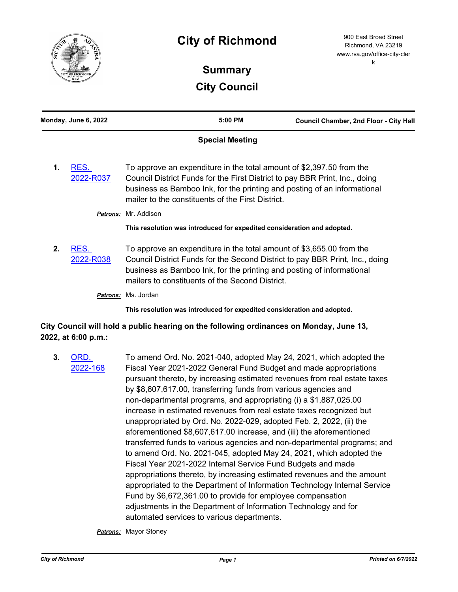

## **City of Richmond**

900 East Broad Street Richmond, VA 23219 www.rva.gov/office-city-cler k

## **Summary City Council**

| Monday, June 6, 2022                                                                                                                                                                                                                                                                                            |                     | 5:00 PM                                                                                                                                                                                                                                                                          | Council Chamber, 2nd Floor - City Hall |
|-----------------------------------------------------------------------------------------------------------------------------------------------------------------------------------------------------------------------------------------------------------------------------------------------------------------|---------------------|----------------------------------------------------------------------------------------------------------------------------------------------------------------------------------------------------------------------------------------------------------------------------------|----------------------------------------|
| <b>Special Meeting</b>                                                                                                                                                                                                                                                                                          |                     |                                                                                                                                                                                                                                                                                  |                                        |
| To approve an expenditure in the total amount of \$2,397.50 from the<br>RES.<br>1.<br>Council District Funds for the First District to pay BBR Print, Inc., doing<br>2022-R037<br>business as Bamboo Ink, for the printing and posting of an informational<br>mailer to the constituents of the First District. |                     |                                                                                                                                                                                                                                                                                  |                                        |
|                                                                                                                                                                                                                                                                                                                 |                     | Patrons: Mr. Addison                                                                                                                                                                                                                                                             |                                        |
|                                                                                                                                                                                                                                                                                                                 |                     | This resolution was introduced for expedited consideration and adopted.                                                                                                                                                                                                          |                                        |
| 2.                                                                                                                                                                                                                                                                                                              | RES.<br>2022-R038   | To approve an expenditure in the total amount of \$3,655.00 from the<br>Council District Funds for the Second District to pay BBR Print, Inc., doing<br>business as Bamboo Ink, for the printing and posting of informational<br>mailers to constituents of the Second District. |                                        |
|                                                                                                                                                                                                                                                                                                                 |                     | Patrons: Ms. Jordan                                                                                                                                                                                                                                                              |                                        |
|                                                                                                                                                                                                                                                                                                                 |                     | This resolution was introduced for expedited consideration and adopted.                                                                                                                                                                                                          |                                        |
|                                                                                                                                                                                                                                                                                                                 | 2022, at 6:00 p.m.: | City Council will hold a public hearing on the following ordinances on Monday, June 13,                                                                                                                                                                                          |                                        |

**3.** ORD. [2022-168](http://richmondva.legistar.com/gateway.aspx?m=l&id=/matter.aspx?key=32265) To amend Ord. No. 2021-040, adopted May 24, 2021, which adopted the Fiscal Year 2021-2022 General Fund Budget and made appropriations pursuant thereto, by increasing estimated revenues from real estate taxes by \$8,607,617.00, transferring funds from various agencies and non-departmental programs, and appropriating (i) a \$1,887,025.00 increase in estimated revenues from real estate taxes recognized but unappropriated by Ord. No. 2022-029, adopted Feb. 2, 2022, (ii) the aforementioned \$8,607,617.00 increase, and (iii) the aforementioned transferred funds to various agencies and non-departmental programs; and to amend Ord. No. 2021-045, adopted May 24, 2021, which adopted the Fiscal Year 2021-2022 Internal Service Fund Budgets and made appropriations thereto, by increasing estimated revenues and the amount appropriated to the Department of Information Technology Internal Service Fund by \$6,672,361.00 to provide for employee compensation adjustments in the Department of Information Technology and for automated services to various departments.

*Patrons:* Mayor Stoney